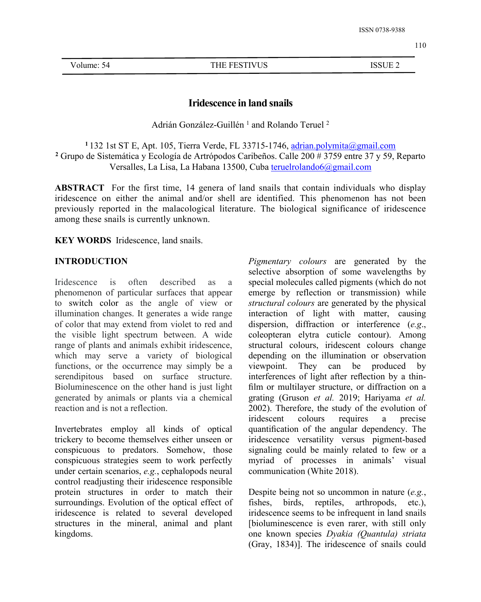Volume: 54 THE FESTIVUS ISSUE 2

# **Iridescence in land snails**

Adrián González-Guillén <sup>1</sup> and Rolando Teruel <sup>2</sup>

**<sup>1</sup>** 132 1st ST E, Apt. 105, Tierra Verde, FL 33715-1746, [adrian.polymita@gmail.com](mailto:adrian.polymita@gmail.com) **<sup>2</sup>** Grupo de Sistemática y Ecología de Artrópodos Caribeños. Calle 200 # 3759 entre 37 y 59, Reparto Versalles, La Lisa, La Habana 13500, Cuba [teruelrolando6@gmail.com](mailto:teruelrolando6@gmail.com)

**ABSTRACT** For the first time, 14 genera of land snails that contain individuals who display iridescence on either the animal and/or shell are identified. This phenomenon has not been previously reported in the malacological literature. The biological significance of iridescence among these snails is currently unknown.

**KEY WORDS** Iridescence, land snails.

### **INTRODUCTION**

phenomenon of particular surfaces that appear to switch [color](https://en.wikipedia.org/wiki/Color) as the angle of view or illumination changes. It generates a wide range of color that may extend from violet to red and the visible light spectrum between. A wide range of plants and animals exhibit iridescence, which may serve a variety of biological functions, or the occurrence may simply be a viewpoint. serendipitous based on surface structure. Bioluminescence on the other hand is just light generated by animals or plants via a chemical reaction and is not a reflection.

Invertebrates employ all kinds of optical trickery to become themselves either unseen or conspicuous to predators. Somehow, those conspicuous strategies seem to work perfectly under certain scenarios, *e.g.*, cephalopods neural control readjusting their iridescence responsible protein structures in order to match their surroundings. Evolution of the optical effect of iridescence is related to several developed structures in the mineral, animal and plant kingdoms.

Iridescence is often described as a special molecules called pigments (which do not *Pigmentary colours* are generated by the selective absorption of some wavelengths by emerge by reflection or transmission) while *structural colours* are generated by the physical interaction of light with matter, causing dispersion, diffraction or interference (*e.g*., coleopteran elytra cuticle contour). Among structural colours, iridescent colours change depending on the illumination or observation They can be produced by interferences of light after reflection by a thin film or multilayer structure, or diffraction on a grating (Gruson *et al.* 2019; Hariyama *et al.* 2002). Therefore, the study of the evolution of iridescent colours requires a precise quantification of the angular dependency. The iridescence versatility versus pigment-based signaling could be mainly related to few or a myriad of processes in animals' visual communication (White 2018).

> Despite being not so uncommon in nature (*e.g.*, fishes, birds, reptiles, arthropods, etc.), iridescence seems to be infrequent in land snails [bioluminescence is even rarer, with still only one known species *Dyakia (Quantula) striata* (Gray, 1834)]. The iridescence of snails could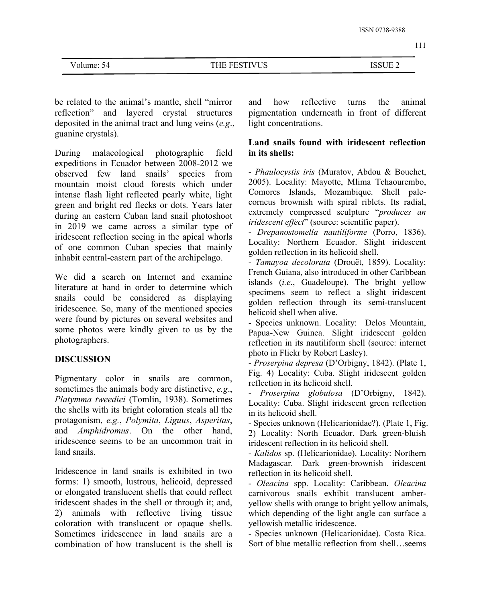111

| $\cdot$ ien | $7T$ TC<br>п г<br>ັບ | <b>LOCUTE</b><br>н<br>احت<br>----- |
|-------------|----------------------|------------------------------------|
|             |                      |                                    |

be related to the animal's mantle, shell "mirror reflection" and layered crystal structures deposited in the animal tract and lung veins (*e.g*., guanine crystals).

During malacological photographic field expeditions in Ecuador between 2008-2012 we observed few land snails' species from mountain moist cloud forests which under intense flash light reflected pearly white, light green and bright red flecks or dots. Years later during an eastern Cuban land snail photoshoot in 2019 we came across a similar type of iridescent reflection seeing in the apical whorls of one common Cuban species that mainly inhabit central-eastern part of the archipelago.

We did a search on Internet and examine literature at hand in order to determine which snails could be considered as displaying iridescence. So, many of the mentioned species were found by pictures on several websites and some photos were kindly given to us by the photographers.

## **DISCUSSION**

Pigmentary color in snails are common, sometimes the animals body are distinctive, *e.g*., *Platymma tweediei* (Tomlin, 1938). Sometimes the shells with its bright coloration steals all the protagonism, *e.g.*, *Polymita*, *Liguus*, *Asperitas*, and *Amphidromus*. On the other hand, iridescence seems to be an uncommon trait in land snails.

Iridescence in land snails is exhibited in two forms: 1) smooth, lustrous, helicoid, depressed or elongated translucent shells that could reflect iridescent shades in the shell or through it; and, 2) animals with reflective living tissue coloration with translucent or opaque shells. Sometimes iridescence in land snails are a combination of how translucent is the shell is

reflective turns the animal pigmentation underneath in front of different light concentrations.

### **Land snails found with iridescent reflection in its shells:**

- *Phaulocystis iris* (Muratov, Abdou & Bouchet, 2005). Locality: Mayotte, Mlima Tchaourembo, Comores Islands, Mozambique. Shell pale corneus brownish with spiral riblets. Its radial, extremely compressed sculpture "*produces an iridescent effect*" (source: scientific paper).

- *Drepanostomella nautiliforme* (Porro, 1836). Locality: Northern Ecuador. Slight iridescent golden reflection in its helicoid shell.

- *Tamayoa decolorata* (Drouët, 1859). Locality: French Guiana, also introduced in other Caribbean islands (*i.e*., Guadeloupe). The bright yellow specimens seem to reflect a slight iridescent golden reflection through its semi-translucent helicoid shell when alive.

- Species unknown. Locality: Delos Mountain, Papua-New Guinea. Slight iridescent golden reflection in its nautiliform shell (source: internet photo in Flickr by Robert Lasley).

- *Proserpina depresa* (D'Orbigny, 1842). (Plate 1, Fig. 4) Locality: Cuba. Slight iridescent golden reflection in its helicoid shell.

- *Proserpina globulosa* (D'Orbigny, 1842). Locality: Cuba. Slight iridescent green reflection in its helicoid shell.

- Species unknown (Helicarionidae?). (Plate 1, Fig. 2) Locality: North Ecuador. Dark green-bluish iridescent reflection in its helicoid shell.

- *Kalidos* sp. (Helicarionidae). Locality: Northern Madagascar. Dark green-brownish iridescent reflection in its helicoid shell.

- *Oleacina* spp. Locality: Caribbean. *Oleacina* carnivorous snails exhibit translucent amber yellow shells with orange to bright yellow animals, which depending of the light angle can surface a yellowish metallic iridescence.

- Species unknown (Helicarionidae). Costa Rica. Sort of blue metallic reflection from shell…seems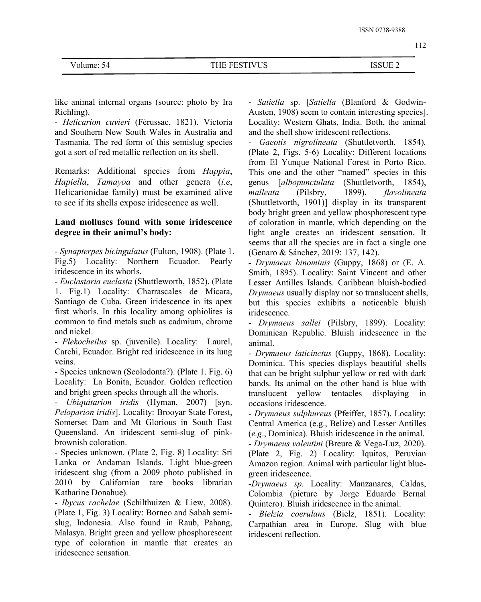Volume: 54 THE FESTIVUS ISSUE 2

like animal internal organs (source: photo by Ira Richling).

- *Helicarion cuvieri* (Férussac, 1821). Victoria and Southern New South Wales in Australia and Tasmania. The red form of this semislug species got a sort of red metallic reflection on its shell.

Remarks: Additional species from *Happia*, *Hapiella*, *Tamayoa* and other genera (*i.e*, Helicarionidae family) must be examined alive *malleata* (Pilsbry, to see if its shells expose iridescence as well.

## **Land molluscs found with some iridescence degree in their animal's body:**

- *Synapterpes bicingulatus* (Fulton, 1908). (Plate 1. Fig.5) Locality: Northern Ecuador. Pearly iridescence in its whorls.

- *Euclastaria euclasta* (Shuttleworth, 1852). (Plate 1. Fig.1) Locality: Charrascales de Mícara, Santiago de Cuba. Green iridescence in its apex first whorls. In this locality among ophiolites is common to find metals such as cadmium, chrome and nickel.

- *Plekocheilus* sp. (juvenile). Locality: Laurel, Carchi, Ecuador. Bright red iridescence in its lung veins.

- Species unknown (Scolodonta?). (Plate 1. Fig. 6) Locality: La Bonita, Ecuador. Golden reflection and bright green specks through all the whorls.

- *Ubiquitarion iridis* (Hyman, 2007) [syn. *Peloparion iridis*]. Locality: Brooyar State Forest, Somerset Dam and Mt Glorious in South East Queensland. An iridescent semi-slug of pink brownish coloration.

- Species unknown. (Plate 2, Fig. 8) Locality: Sri Lanka or Andaman Islands. Light blue-green iridescent slug (from a 2009 photo published in 2010 by Californian rare books librarian Katharine Donahue).

- *Ibycus rachelae* (Schilthuizen & Liew, 2008). (Plate 1, Fig. 3) Locality: Borneo and Sabah semi slug, Indonesia. Also found in Raub, Pahang, Malasya. Bright green and yellow phosphorescent type of coloration in mantle that creates an iridescence sensation.

- *Satiella* sp. [*Satiella* (Blanford & Godwin- Austen, 1908) seem to contain interesting species]. Locality: Western Ghats, India. Both, the animal and the shell show iridescent reflections.

- *Gaeotis nigrolineata* (Shuttletvorth, 1854)*.* (Plate 2, Figs. 5-6) Locality: Different locations from El Yunque National Forest in Porto Rico. This one and the other "named" species in this genus [*albopunctulata* (Shuttletvorth, 1854), *malleata* (Pilsbry, 1899), *flavolineata* (Shuttletvorth, 1901)] display in its transparent body bright green and yellow phosphorescent type of coloration in mantle, which depending on the light angle creates an iridescent sensation. It seems that all the species are in fact a single one (Genaro & Sánchez, 2019: 137, 142).

*- Drymaeus binominis* (Guppy, 1868) or (E. A. Smith, 1895). Locality: Saint Vincent and other Lesser Antilles Islands. Caribbean bluish-bodied *Drymaeus* usually display not so translucent shells, but this species exhibits a noticeable bluish iridescence.

- *Drymaeus sallei* (Pilsbry, 1899). Locality: Dominican Republic. Bluish iridescence in the animal.

- *Drymaeus laticinctus* (Guppy, 1868). Locality: Dominica. This species displays beautiful shells that can be bright sulphur yellow or red with dark bands. Its animal on the other hand is blue with translucent yellow tentacles displaying in occasions iridescence.

- *Drymaeus sulphureus* (Pfeiffer, 1857). Locality: Central America (e.g., Belize) and Lesser Antilles (*e.g*., Dominica). Bluish iridescence in the animal. - *Drymaeus valentini* (Breure & Vega-Luz, 2020).

(Plate 2, Fig. 2) Locality: Iquitos, Peruvian Amazon region. Animal with particular light blue green iridescence.

-*Drymaeus sp.* Locality: Manzanares, Caldas, Colombia (picture by Jorge Eduardo Bernal Quintero). Bluish iridescence in the animal.

- *Bielzia coerulans* (Bielz, 1851). Locality: Carpathian area in Europe. Slug with blue iridescent reflection.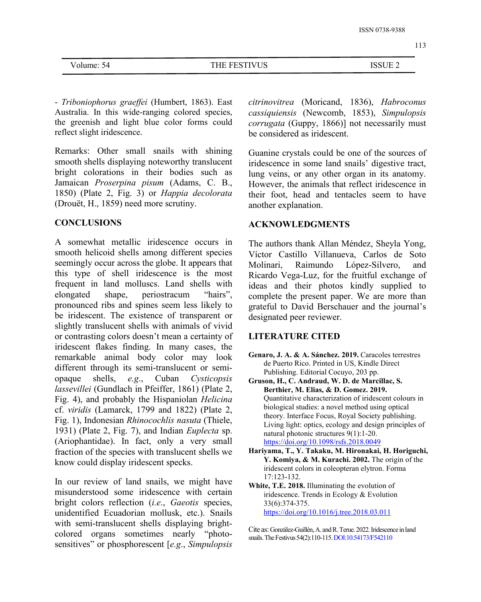113

| ∆۱<br>olume:" | <b>RETIVITS</b><br>ΗF<br>E P.U<br>ບບ | <b>ICCLIL</b> $\gamma$<br>)UE Z<br><b>۱</b> |  |
|---------------|--------------------------------------|---------------------------------------------|--|
|               |                                      |                                             |  |

- *Triboniophorus graef ei* (Humbert, 1863). East Australia. In this wide-ranging colored species, the greenish and light blue color forms could reflect slight iridescence.

Remarks: Other small snails with shining smooth shells displaying noteworthy translucent bright colorations in their bodies such as Jamaican *Proserpina pisum* (Adams, C. B., 1850) (Plate 2, Fig. 3) or *Happia decolorata* (Drouët, H., 1859) need more scrutiny.

#### **CONCLUSIONS**

A somewhat metallic iridescence occurs in smooth helicoid shells among different species seemingly occur across the globe. It appears that Molinari. this type of shell iridescence is the most frequent in land molluscs. Land shells with elongated shape, periostracum "hairs", complete the present paper. We are more than pronounced ribs and spines seem less likely to be iridescent. The existence of transparent or slightly translucent shells with animals of vivid or contrasting colors doesn't mean a certainty of iridescent flakes finding. In many cases, the remarkable animal body color may look different through its semi-translucent or semi opaque shells, *e.g*., Cuban *Cysticopsis lassevillei* (Gundlach in Pfeiffer, 1861) (Plate 2, Fig. 4), and probably the Hispaniolan *Helicina* cf. *viridis* (Lamarck, 1799 and 1822) (Plate 2, biological studies: a novel method using optical<br>theory. Interface Focus, Royal Society publishing. Fig. 1), Indonesian *Rhinocochlis nasuta* (Thiele, 1931) (Plate 2, Fig. 7), and Indian *Euplecta* sp. (Ariophantidae). In fact, only a very small fraction of the species with translucent shells we know could display iridescent specks.

In our review of land snails, we might have misunderstood some iridescence with certain bright colors reflection (*i.e*., *Gaeotis* species, unidentified Ecuadorian mollusk, etc.). Snails with semi-translucent shells displaying bright-<br>colored organs sometimes nearly "photosensitives" or phosphorescent [*e.g*., *Simpulopsis*

*citrinovitrea* (Moricand, 1836), *Habroconus cassiquiensis* (Newcomb, 1853), *Simpulopsis corrugata* (Guppy, 1866)] not necessarily must be considered as iridescent.

Guanine crystals could be one of the sources of iridescence in some land snails' digestive tract, lung veins, or any other organ in its anatomy. However, the animals that reflect iridescence in their foot, head and tentacles seem to have another explanation.

### **ACKNOWLEDGMENTS**

The authors thank Allan Méndez, Sheyla Yong, Víctor Castillo Villanueva, Carlos de Soto Raimundo López-Silvero, and Ricardo Vega-Luz, for the fruitful exchange of ideas and their photos kindly supplied to grateful to David Berschauer and the journal's designated peer reviewer.

### **LITERATURE CITED**

- **Genaro, J. A. & A. Sánchez. 2019.** Caracoles terrestres de Puerto Rico. Printed in US, Kindle Direct Publishing. Editorial Cocuyo, 203 pp.
- **Gruson, H., C. Andraud, W. D. de Marcillac, S. Berthier, M. Elias, & D. Gomez. 2019.** Quantitative characterization of iridescent colours in biological studies: a novel method using optical Living light: optics, ecology and design principles of natural photonic structures 9(1):1-20. <https://doi.org/10.1098/rsfs.2018.0049>
- **Hariyama, T., Y. Takaku, M. Hironakai, H. Horiguchi, Y. Komiya, & M. Kurachi. 2002.** The origin of the iridescent colors in coleopteran elytron. Forma 17:123-132.
- **White, T.E. 2018.** Illuminating the evolution of iridescence. Trends in Ecology & Evolution [33\(6](https://www.sciencedirect.com/science/journal/01695347/33/6)):374-375. <https://doi.org/10.1016/j.tree.2018.03.011>

Cite as: González-Guillén,A. andR.Terue.2022.Iridescence inland snails. The Festivus 54(2):110-115. DOI:10.54173/F542110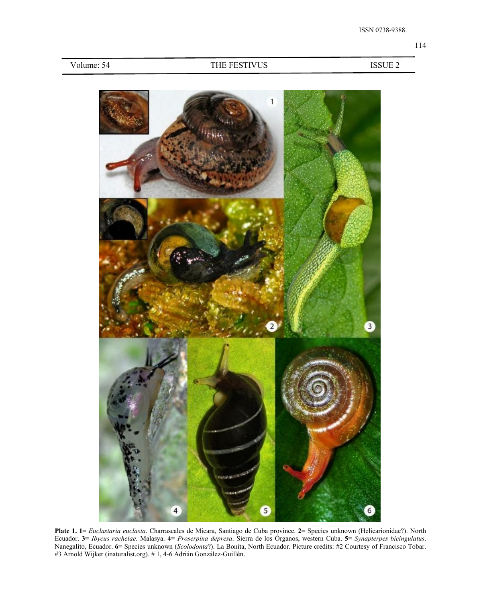| Volume: 54 |  |  |  |
|------------|--|--|--|
|------------|--|--|--|

#### THE FESTIVUS ISSUE 2



**Plate 1. 1=** *Euclastaria euclasta*. Charrascales de Mícara, Santiago de Cuba province. **2=** Species unknown (Helicarionidae?). North Ecuador. **3=** *Ibycus rachelae*. Malasya. **4=** *Proserpina depresa*. Sierra de los Órganos, western Cuba. **5=** *Synapterpes bicingulatus*. Nanegalito, Ecuador. **6=** Species unknown (*Scolodonta*?). La Bonita, North Ecuador. Picture credits: #2 Courtesy of Francisco Tobar. #3 Arnold Wijker (inaturalist.org). # 1, 4-6 Adrián González-Guillén.